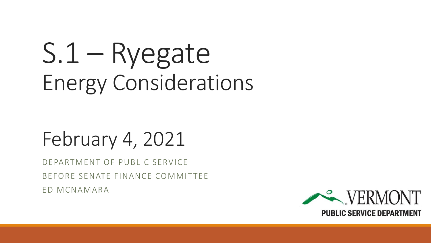# S.1 – Ryegate Energy Considerations

### February 4, 2021

DEPARTMENT OF PUBLIC SERVICE

BEFORE SENATE FINANCE COMMITTEE

ED MCNAMARA

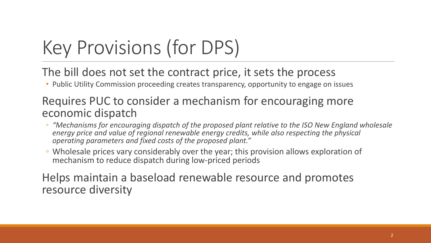# Key Provisions (for DPS)

The bill does not set the contract price, it sets the process

• Public Utility Commission proceeding creates transparency, opportunity to engage on issues

#### Requires PUC to consider a mechanism for encouraging more economic dispatch

- *"Mechanisms for encouraging dispatch of the proposed plant relative to the ISO New England wholesale energy price and value of regional renewable energy credits, while also respecting the physical operating parameters and fixed costs of the proposed plant."*
- Wholesale prices vary considerably over the year; this provision allows exploration of mechanism to reduce dispatch during low-priced periods

Helps maintain a baseload renewable resource and promotes resource diversity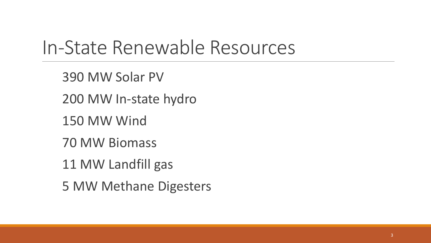#### In-State Renewable Resources

390 MW Solar PV

200 MW In-state hydro

150 MW Wind

70 MW Biomass

11 MW Landfill gas

5 MW Methane Digesters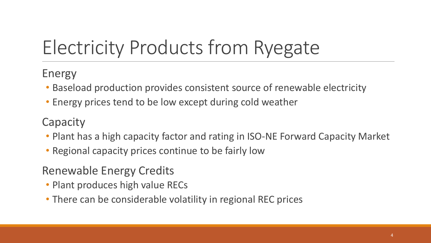# Electricity Products from Ryegate

#### Energy

- Baseload production provides consistent source of renewable electricity
- Energy prices tend to be low except during cold weather

#### **Capacity**

- Plant has a high capacity factor and rating in ISO-NE Forward Capacity Market
- Regional capacity prices continue to be fairly low

#### Renewable Energy Credits

- Plant produces high value RECs
- There can be considerable volatility in regional REC prices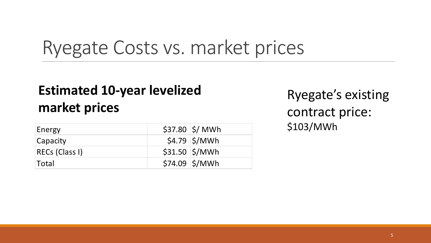#### Ryegate Costs vs. market prices

#### **Estimated 10-year levelized market prices**

| Energy         | $$37.80$ $$/$ MWh                     |
|----------------|---------------------------------------|
| Capacity       | $$4.79$ $$/MWh$                       |
| RECs (Class I) | $$31.50$ $$/MWh$                      |
| <b>Total</b>   | $$74.09$ $$\mathsf{\%}/\mathsf{MWh}$$ |

Ryegate's existing contract price: \$103/MWh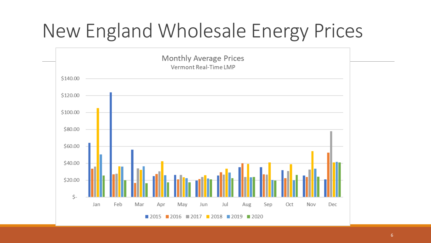# New England Wholesale Energy Prices

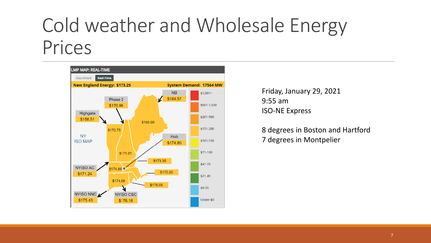### Cold weather and Wholesale Energy Prices



Friday, January 29, 2021 9:55 am ISO-NE Express

8 degrees in Boston and Hartford 7 degrees in Montpelier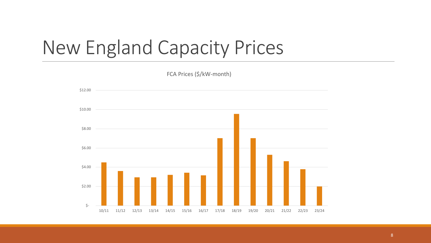### New England Capacity Prices

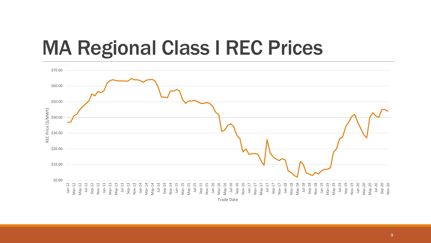### MA Regional Class I REC Prices



9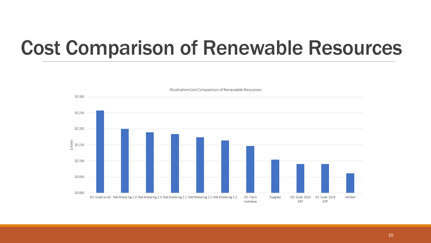### Cost Comparison of Renewable Resources